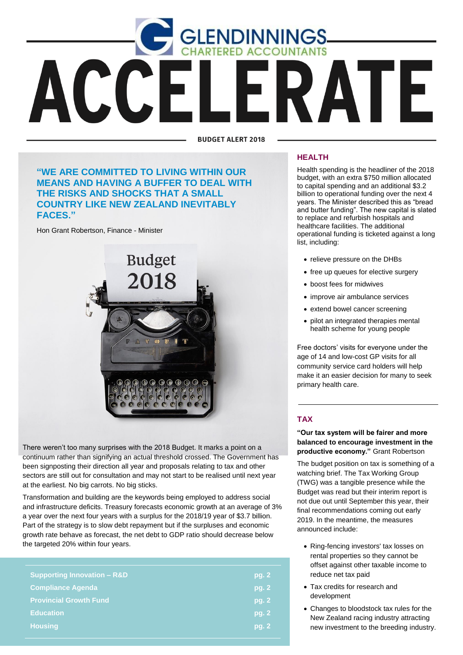

**BUDGET ALERT 2018** 

## **"WE ARE COMMITTED TO LIVING WITHIN OUR MEANS AND HAVING A BUFFER TO DEAL WITH THE RISKS AND SHOCKS THAT A SMALL COUNTRY LIKE NEW ZEALAND INEVITABLY FACES."**

Hon Grant Robertson, Finance - Minister



There weren't too many surprises with the 2018 Budget. It marks a point on a continuum rather than signifying an actual threshold crossed. The Government has been signposting their direction all year and proposals relating to tax and other sectors are still out for consultation and may not start to be realised until next year at the earliest. No big carrots. No big sticks.

Transformation and building are the keywords being employed to address social and infrastructure deficits. Treasury forecasts economic growth at an average of 3% a year over the next four years with a surplus for the 2018/19 year of \$3.7 billion. Part of the strategy is to slow debt repayment but if the surpluses and economic growth rate behave as forecast, the net debt to GDP ratio should decrease below the targeted 20% within four years.

| <b>Supporting Innovation - R&amp;D</b> | pg. 2 |
|----------------------------------------|-------|
| <b>Compliance Agenda</b>               | pg. 2 |
| <b>Provincial Growth Fund</b>          | pg. 2 |
| <b>Education</b>                       | pg. 2 |
| <b>Housing</b>                         | pg. 2 |
|                                        |       |

#### **HEALTH**

Health spending is the headliner of the 2018 budget, with an extra \$750 million allocated to capital spending and an additional \$3.2 billion to operational funding over the next 4 years. The Minister described this as "bread and butter funding". The new capital is slated to replace and refurbish hospitals and healthcare facilities. The additional operational funding is ticketed against a long list, including:

- relieve pressure on the DHBs
- free up queues for elective surgery
- boost fees for midwives
- improve air ambulance services
- extend bowel cancer screening
- pilot an integrated therapies mental health scheme for young people

Free doctors' visits for everyone under the age of 14 and low-cost GP visits for all community service card holders will help make it an easier decision for many to seek primary health care.

### **TAX**

**"Our tax system will be fairer and more balanced to encourage investment in the productive economy."** Grant Robertson

The budget position on tax is something of a watching brief. The Tax Working Group (TWG) was a tangible presence while the Budget was read but their interim report is not due out until September this year, their final recommendations coming out early 2019. In the meantime, the measures announced include:

- Ring-fencing investors' tax losses on rental properties so they cannot be offset against other taxable income to reduce net tax paid
- Tax credits for research and development
- Changes to bloodstock tax rules for the New Zealand racing industry attracting new investment to the breeding industry.